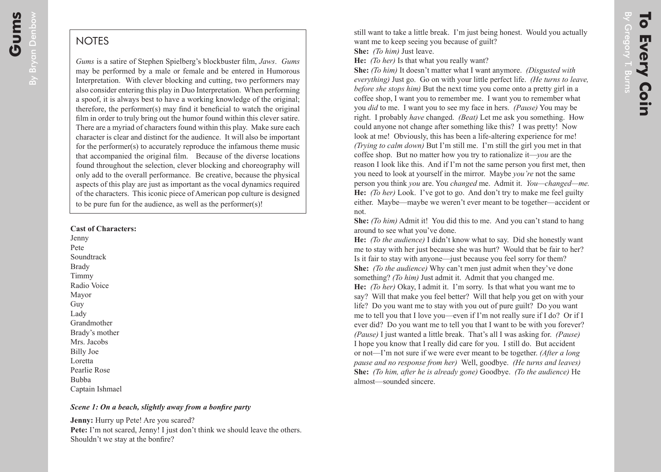# **NOTES**

*Gums* is a satire of Stephen Spielberg's blockbuster film, *Jaws*. *Gums* may be performed by a male or female and be entered in Humorous Interpretation. With clever blocking and cutting, two performers may also consider entering this play in Duo Interpretation. When performing a spoof, it is always best to have a working knowledge of the original; therefore, the performer(s) may find it beneficial to watch the original film in order to truly bring out the humor found within this clever satire. There are a myriad of characters found within this play. Make sure each character is clear and distinct for the audience. It will also be important for the performer(s) to accurately reproduce the infamous theme music that accompanied the original film. Because of the diverse locations found throughout the selection, clever blocking and choreography will only add to the overall performance. Be creative, because the physical aspects of this play are just as important as the vocal dynamics required of the characters. This iconic piece of American pop culture is designed to be pure fun for the audience, as well as the performer(s)!

#### **Cast of Characters:**

Jenny Pete **Soundtrack** Brady Timmy Radio Voice Mayor Guy Lady Grandmother Brady's mother Mrs. Jacobs Billy Joe Loretta Pearlie Rose Bubba Captain Ishmael

#### *Scene 1: On a beach, slightly away from a bonfire party*

**Jenny:** Hurry up Pete! Are you scared? **Pete:** I'm not scared, Jenny! I just don't think we should leave the others. Shouldn't we stay at the bonfire?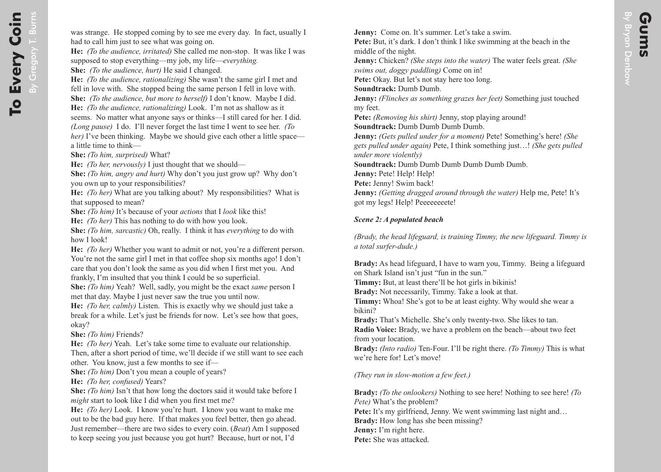**Jenny:** Come on. It's summer. Let's take a swim. **Pete:** But, it's dark. I don't think I like swimming at the beach in the middle of the night. **Jenny:** Chicken? *(She steps into the water)* The water feels great. *(She swims out, doggy paddlin*g*)* Come on in! **Pete:** Okay. But let's not stay here too long. **Soundtrack:** Dumb Dumb. **Jenny:** *(Flinches as something grazes her feet)* Something just touched my feet. **Pete:** *(Removing his shirt)* Jenny, stop playing around! **Soundtrack: Dumb Dumb Dumb Dumb. Jenny:** *(Gets pulled under for a moment)* Pete! Something's here! *(She gets pulled under again)* Pete, I think something just…! *(She gets pulled under more violently)*  **Soundtrack:** Dumb Dumb Dumb Dumb Dumb Dumb. **Jenny:** Pete! Help! Help! **Pete:** Jenny! Swim back! **Jenny:** *(Getting dragged around through the water)* Help me, Pete! It's got my legs! Help! Peeeeeeeete!

## *Scene 2: A populated beach*

*(Brady, the head lifeguard, is training Timmy, the new lifeguard. Timmy is a total surfer-dude.)*

**Brady:** As head lifeguard, I have to warn you, Timmy. Being a lifeguard on Shark Island isn't just "fun in the sun."

**Timmy:** But, at least there'll be hot girls in bikinis!

**Brady:** Not necessarily, Timmy. Take a look at that.

**Timmy:** Whoa! She's got to be at least eighty. Why would she wear a bikini?

**Brady:** That's Michelle. She's only twenty-two. She likes to tan. **Radio Voice:** Brady, we have a problem on the beach—about two feet from your location.

**Brady:** *(Into radio)* Ten-Four. I'll be right there. *(To Timmy)* This is what we're here for! Let's move!

*(They run in slow-motion a few feet.)*

**Brady:** *(To the onlookers)* Nothing to see here! Nothing to see here! *(To Pete)* What's the problem? **Pete:** It's my girlfriend, Jenny. We went swimming last night and... **Brady:** How long has she been missing? **Jenny:** I'm right here. **Pete:** She was attacked.